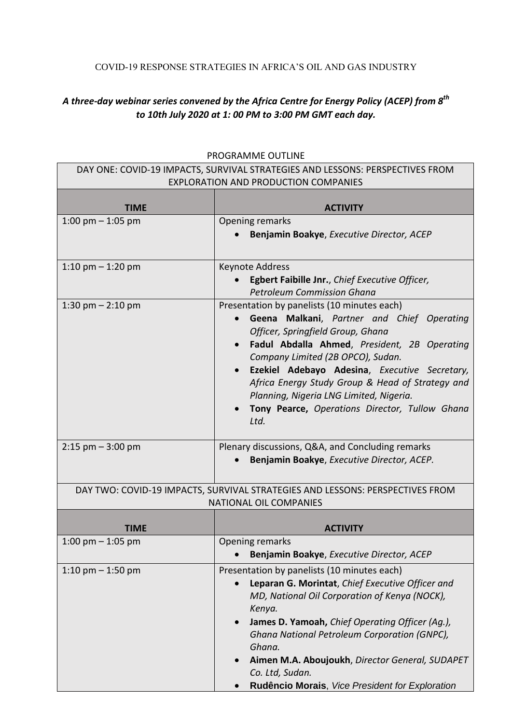## COVID-19 RESPONSE STRATEGIES IN AFRICA'S OIL AND GAS INDUSTRY

## *A three-day webinar series convened by the Africa Centre for Energy Policy (ACEP) from 8 th to 10th July 2020 at 1: 00 PM to 3:00 PM GMT each day.*

| DAY ONE: COVID-19 IMPACTS, SURVIVAL STRATEGIES AND LESSONS: PERSPECTIVES FROM<br><b>EXPLORATION AND PRODUCTION COMPANIES</b> |                                                                                                                                                                                                                                                                                                                                                                                  |
|------------------------------------------------------------------------------------------------------------------------------|----------------------------------------------------------------------------------------------------------------------------------------------------------------------------------------------------------------------------------------------------------------------------------------------------------------------------------------------------------------------------------|
| <b>TIME</b>                                                                                                                  | <b>ACTIVITY</b>                                                                                                                                                                                                                                                                                                                                                                  |
| 1:00 pm $-$ 1:05 pm                                                                                                          | Opening remarks                                                                                                                                                                                                                                                                                                                                                                  |
|                                                                                                                              | Benjamin Boakye, Executive Director, ACEP                                                                                                                                                                                                                                                                                                                                        |
| 1:10 pm $-$ 1:20 pm                                                                                                          | Keynote Address                                                                                                                                                                                                                                                                                                                                                                  |
|                                                                                                                              | Egbert Faibille Jnr., Chief Executive Officer,<br><b>Petroleum Commission Ghana</b>                                                                                                                                                                                                                                                                                              |
| 1:30 pm $-$ 2:10 pm                                                                                                          | Presentation by panelists (10 minutes each)<br>Geena Malkani, Partner and Chief Operating<br>$\bullet$<br>Officer, Springfield Group, Ghana<br>Fadul Abdalla Ahmed, President, 2B Operating<br>Company Limited (2B OPCO), Sudan.<br>Ezekiel Adebayo Adesina, Executive Secretary,<br>Africa Energy Study Group & Head of Strategy and<br>Planning, Nigeria LNG Limited, Nigeria. |
|                                                                                                                              | Tony Pearce, Operations Director, Tullow Ghana<br>Ltd.                                                                                                                                                                                                                                                                                                                           |
| $2:15$ pm $-3:00$ pm                                                                                                         | Plenary discussions, Q&A, and Concluding remarks<br>Benjamin Boakye, Executive Director, ACEP.                                                                                                                                                                                                                                                                                   |
| DAY TWO: COVID-19 IMPACTS, SURVIVAL STRATEGIES AND LESSONS: PERSPECTIVES FROM<br><b>NATIONAL OIL COMPANIES</b>               |                                                                                                                                                                                                                                                                                                                                                                                  |
| <b>TIME</b>                                                                                                                  | <b>ACTIVITY</b>                                                                                                                                                                                                                                                                                                                                                                  |
| 1:00 pm $-$ 1:05 pm                                                                                                          | Opening remarks                                                                                                                                                                                                                                                                                                                                                                  |
|                                                                                                                              | Benjamin Boakye, Executive Director, ACEP                                                                                                                                                                                                                                                                                                                                        |
| 1:10 pm $-$ 1:50 pm                                                                                                          | Presentation by panelists (10 minutes each)<br>Leparan G. Morintat, Chief Executive Officer and<br>$\bullet$<br>MD, National Oil Corporation of Kenya (NOCK),<br>Kenya.<br>James D. Yamoah, Chief Operating Officer (Aq.),<br>Ghana National Petroleum Corporation (GNPC),<br>Ghana.<br>Aimen M.A. Aboujoukh, Director General, SUDAPET                                          |
|                                                                                                                              | Co. Ltd, Sudan.<br>Rudêncio Morais, Vice President for Exploration                                                                                                                                                                                                                                                                                                               |

## PROGRAMME OUTLINE